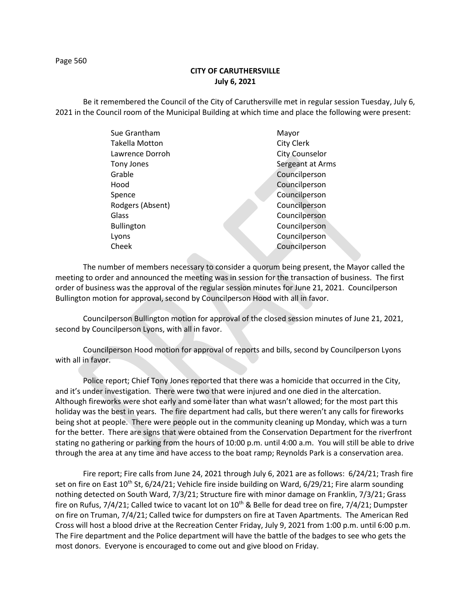## **CITY OF CARUTHERSVILLE July 6, 2021**

Be it remembered the Council of the City of Caruthersville met in regular session Tuesday, July 6, 2021 in the Council room of the Municipal Building at which time and place the following were present:

| Sue Grantham      | Mayor                 |
|-------------------|-----------------------|
| Takella Motton    | City Clerk            |
| Lawrence Dorroh   | <b>City Counselor</b> |
| Tony Jones        | Sergeant at Arms      |
| Grable            | Councilperson         |
| Hood              | Councilperson         |
| Spence            | Councilperson         |
| Rodgers (Absent)  | Councilperson         |
| Glass             | Councilperson         |
| <b>Bullington</b> | Councilperson         |
| Lyons             | Councilperson         |
| Cheek             | Councilperson         |
|                   |                       |

The number of members necessary to consider a quorum being present, the Mayor called the meeting to order and announced the meeting was in session for the transaction of business. The first order of business was the approval of the regular session minutes for June 21, 2021. Councilperson Bullington motion for approval, second by Councilperson Hood with all in favor.

Councilperson Bullington motion for approval of the closed session minutes of June 21, 2021, second by Councilperson Lyons, with all in favor.

Councilperson Hood motion for approval of reports and bills, second by Councilperson Lyons with all in favor.

Police report; Chief Tony Jones reported that there was a homicide that occurred in the City, and it's under investigation. There were two that were injured and one died in the altercation. Although fireworks were shot early and some later than what wasn't allowed; for the most part this holiday was the best in years. The fire department had calls, but there weren't any calls for fireworks being shot at people. There were people out in the community cleaning up Monday, which was a turn for the better. There are signs that were obtained from the Conservation Department for the riverfront stating no gathering or parking from the hours of 10:00 p.m. until 4:00 a.m. You will still be able to drive through the area at any time and have access to the boat ramp; Reynolds Park is a conservation area.

Fire report; Fire calls from June 24, 2021 through July 6, 2021 are as follows: 6/24/21; Trash fire set on fire on East 10<sup>th</sup> St, 6/24/21; Vehicle fire inside building on Ward, 6/29/21; Fire alarm sounding nothing detected on South Ward, 7/3/21; Structure fire with minor damage on Franklin, 7/3/21; Grass fire on Rufus, 7/4/21; Called twice to vacant lot on  $10^{th}$  & Belle for dead tree on fire, 7/4/21; Dumpster on fire on Truman, 7/4/21; Called twice for dumpsters on fire at Taven Apartments. The American Red Cross will host a blood drive at the Recreation Center Friday, July 9, 2021 from 1:00 p.m. until 6:00 p.m. The Fire department and the Police department will have the battle of the badges to see who gets the most donors. Everyone is encouraged to come out and give blood on Friday.

Page 560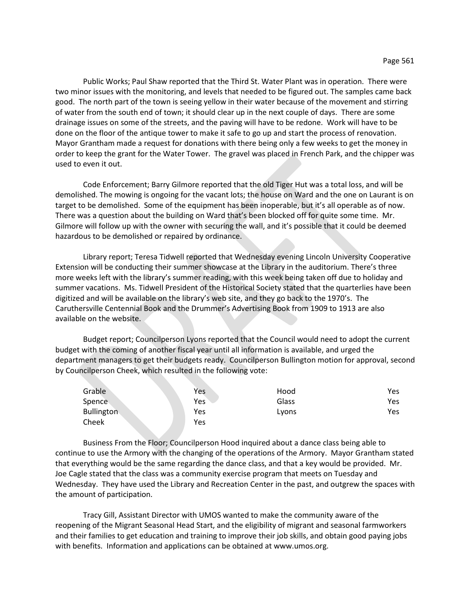Public Works; Paul Shaw reported that the Third St. Water Plant was in operation. There were two minor issues with the monitoring, and levels that needed to be figured out. The samples came back good. The north part of the town is seeing yellow in their water because of the movement and stirring of water from the south end of town; it should clear up in the next couple of days. There are some drainage issues on some of the streets, and the paving will have to be redone. Work will have to be done on the floor of the antique tower to make it safe to go up and start the process of renovation. Mayor Grantham made a request for donations with there being only a few weeks to get the money in order to keep the grant for the Water Tower. The gravel was placed in French Park, and the chipper was used to even it out.

Code Enforcement; Barry Gilmore reported that the old Tiger Hut was a total loss, and will be demolished. The mowing is ongoing for the vacant lots; the house on Ward and the one on Laurant is on target to be demolished. Some of the equipment has been inoperable, but it's all operable as of now. There was a question about the building on Ward that's been blocked off for quite some time. Mr. Gilmore will follow up with the owner with securing the wall, and it's possible that it could be deemed hazardous to be demolished or repaired by ordinance.

Library report; Teresa Tidwell reported that Wednesday evening Lincoln University Cooperative Extension will be conducting their summer showcase at the Library in the auditorium. There's three more weeks left with the library's summer reading, with this week being taken off due to holiday and summer vacations. Ms. Tidwell President of the Historical Society stated that the quarterlies have been digitized and will be available on the library's web site, and they go back to the 1970's. The Caruthersville Centennial Book and the Drummer's Advertising Book from 1909 to 1913 are also available on the website.

Budget report; Councilperson Lyons reported that the Council would need to adopt the current budget with the coming of another fiscal year until all information is available, and urged the department managers to get their budgets ready. Councilperson Bullington motion for approval, second by Councilperson Cheek, which resulted in the following vote:

| Grable            | Yes | Hood  | Yes |
|-------------------|-----|-------|-----|
| Spence            | Yes | Glass | Yes |
| <b>Bullington</b> | Yes | Lyons | Yes |
| Cheek             | Yes |       |     |

Business From the Floor; Councilperson Hood inquired about a dance class being able to continue to use the Armory with the changing of the operations of the Armory. Mayor Grantham stated that everything would be the same regarding the dance class, and that a key would be provided. Mr. Joe Cagle stated that the class was a community exercise program that meets on Tuesday and Wednesday. They have used the Library and Recreation Center in the past, and outgrew the spaces with the amount of participation.

Tracy Gill, Assistant Director with UMOS wanted to make the community aware of the reopening of the Migrant Seasonal Head Start, and the eligibility of migrant and seasonal farmworkers and their families to get education and training to improve their job skills, and obtain good paying jobs with benefits. Information and applications can be obtained at www.umos.org.